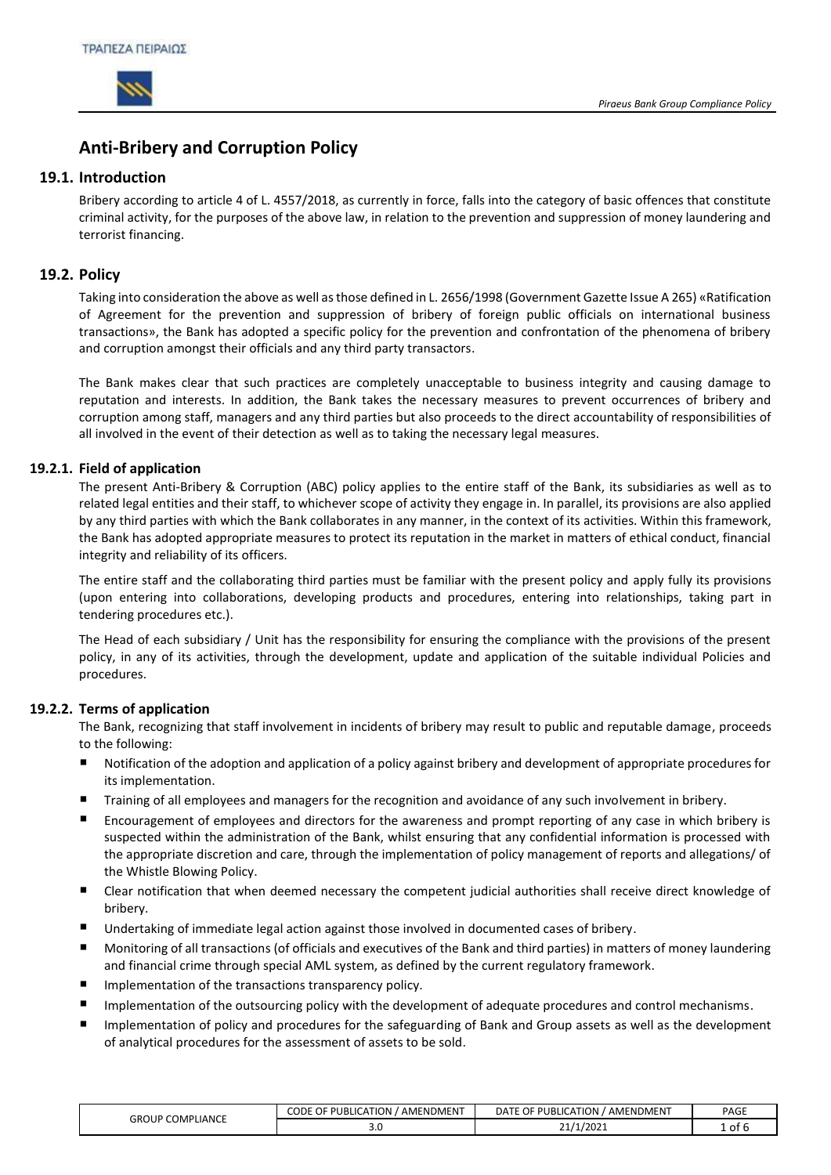

# **Anti-Bribery and Corruption Policy**

# **19.1. Introduction**

Bribery according to article 4 of L. 4557/2018, as currently in force, falls into the category of basic offences that constitute criminal activity, for the purposes of the above law, in relation to the prevention and suppression of money laundering and terrorist financing.

# **19.2. Policy**

Taking into consideration the above as well as those defined in L. 2656/1998 (Government Gazette Issue Α 265) «Ratification of Agreement for the prevention and suppression of bribery of foreign public officials on international business transactions», the Bank has adopted a specific policy for the prevention and confrontation of the phenomena of bribery and corruption amongst their officials and any third party transactors.

The Bank makes clear that such practices are completely unacceptable to business integrity and causing damage to reputation and interests. In addition, the Bank takes the necessary measures to prevent occurrences of bribery and corruption among staff, managers and any third parties but also proceeds to the direct accountability of responsibilities of all involved in the event of their detection as well as to taking the necessary legal measures.

## **19.2.1. Field of application**

The present Anti-Bribery & Corruption (ABC) policy applies to the entire staff of the Bank, its subsidiaries as well as to related legal entities and their staff, to whichever scope of activity they engage in. In parallel, its provisions are also applied by any third parties with which the Bank collaborates in any manner, in the context of its activities. Within this framework, the Bank has adopted appropriate measures to protect its reputation in the market in matters of ethical conduct, financial integrity and reliability of its officers.

The entire staff and the collaborating third parties must be familiar with the present policy and apply fully its provisions (upon entering into collaborations, developing products and procedures, entering into relationships, taking part in tendering procedures etc.).

The Head of each subsidiary / Unit has the responsibility for ensuring the compliance with the provisions of the present policy, in any of its activities, through the development, update and application of the suitable individual Policies and procedures.

## **19.2.2. Terms of application**

The Bank, recognizing that staff involvement in incidents of bribery may result to public and reputable damage, proceeds to the following:

- Notification of the adoption and application of a policy against bribery and development of appropriate procedures for its implementation.
- Training of all employees and managers for the recognition and avoidance of any such involvement in bribery.
- Encouragement of employees and directors for the awareness and prompt reporting of any case in which bribery is suspected within the administration of the Bank, whilst ensuring that any confidential information is processed with the appropriate discretion and care, through the implementation of policy management of reports and allegations/ of the Whistle Blowing Policy.
- Clear notification that when deemed necessary the competent judicial authorities shall receive direct knowledge of bribery.
- Undertaking of immediate legal action against those involved in documented cases of bribery.
- Monitoring of all transactions (of officials and executives of the Bank and third parties) in matters of money laundering and financial crime through special AML system, as defined by the current regulatory framework.
- $\blacksquare$  Implementation of the transactions transparency policy.
- **Implementation of the outsourcing policy with the development of adequate procedures and control mechanisms.**
- Implementation of policy and procedures for the safeguarding of Bank and Group assets as well as the development of analytical procedures for the assessment of assets to be sold.

| COMPLIANCE<br><b>GROUP</b> | PUBLICATION<br>CODE<br>AMENDMENT<br>. OF | AMENDMENT<br>OF PUBLICATION<br><b>DATE</b> | PAGE         |
|----------------------------|------------------------------------------|--------------------------------------------|--------------|
|                            | J.U<br>__                                | 21/1/2021                                  | 1 of<br>____ |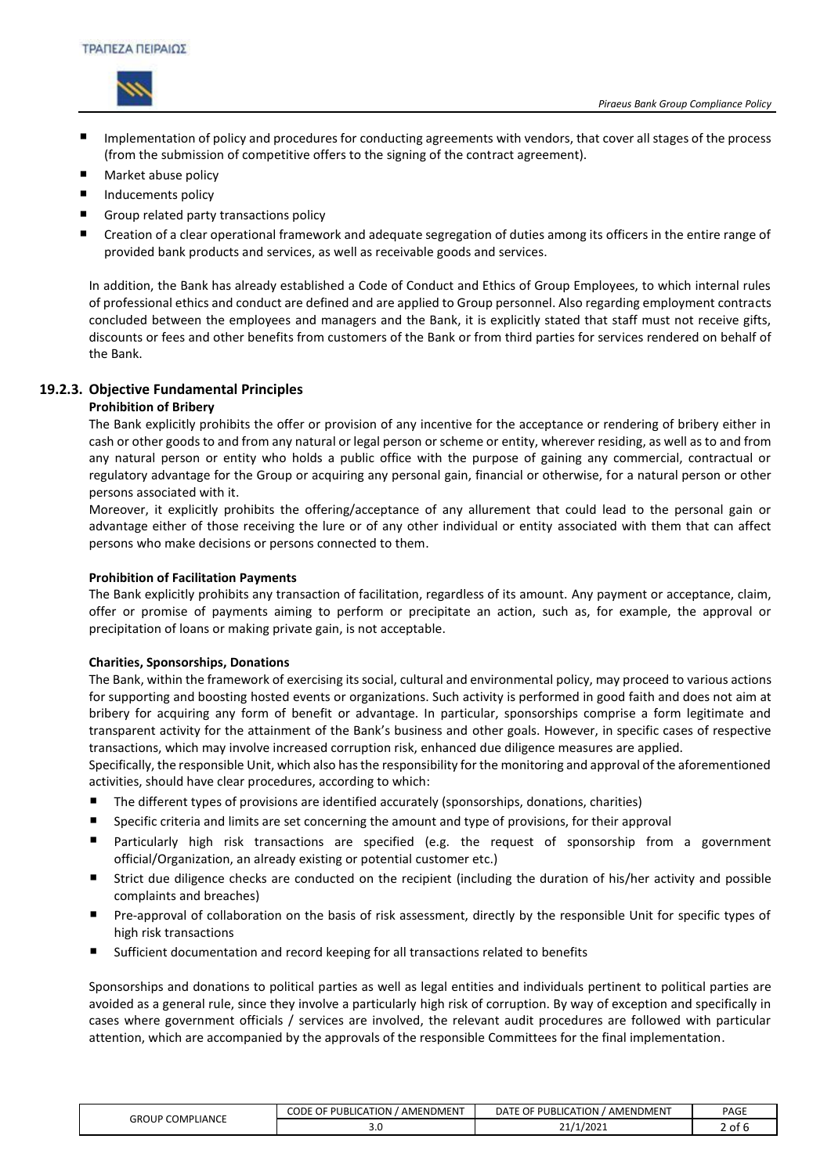

- **Implementation of policy and procedures for conducting agreements with vendors, that cover all stages of the process** (from the submission of competitive offers to the signing of the contract agreement).
- **Market abuse policy**
- **Inducements policy**
- Group related party transactions policy
- Creation of a clear operational framework and adequate segregation of duties among its officers in the entire range of provided bank products and services, as well as receivable goods and services.

In addition, the Bank has already established a Code of Conduct and Ethics of Group Employees, to which internal rules of professional ethics and conduct are defined and are applied to Group personnel. Also regarding employment contracts concluded between the employees and managers and the Bank, it is explicitly stated that staff must not receive gifts, discounts or fees and other benefits from customers of the Bank or from third parties for services rendered on behalf of the Bank.

## **19.2.3. Objective Fundamental Principles**

## **Prohibition of Bribery**

The Bank explicitly prohibits the offer or provision of any incentive for the acceptance or rendering of bribery either in cash or other goods to and from any natural or legal person or scheme or entity, wherever residing, as well as to and from any natural person or entity who holds a public office with the purpose of gaining any commercial, contractual or regulatory advantage for the Group or acquiring any personal gain, financial or otherwise, for a natural person or other persons associated with it.

Moreover, it explicitly prohibits the offering/acceptance of any allurement that could lead to the personal gain or advantage either of those receiving the lure or of any other individual or entity associated with them that can affect persons who make decisions or persons connected to them.

## **Prohibition of Facilitation Payments**

The Bank explicitly prohibits any transaction of facilitation, regardless of its amount. Any payment or acceptance, claim, offer or promise of payments aiming to perform or precipitate an action, such as, for example, the approval or precipitation of loans or making private gain, is not acceptable.

## **Charities, Sponsorships, Donations**

The Bank, within the framework of exercising its social, cultural and environmental policy, may proceed to various actions for supporting and boosting hosted events or organizations. Such activity is performed in good faith and does not aim at bribery for acquiring any form of benefit or advantage. In particular, sponsorships comprise a form legitimate and transparent activity for the attainment of the Bank's business and other goals. However, in specific cases of respective transactions, which may involve increased corruption risk, enhanced due diligence measures are applied.

Specifically, the responsible Unit, which also has the responsibility for the monitoring and approval of the aforementioned activities, should have clear procedures, according to which:

- The different types of provisions are identified accurately (sponsorships, donations, charities)
- Specific criteria and limits are set concerning the amount and type of provisions, for their approval
- Particularly high risk transactions are specified (e.g. the request of sponsorship from a government official/Organization, an already existing or potential customer etc.)
- Strict due diligence checks are conducted on the recipient (including the duration of his/her activity and possible complaints and breaches)
- Pre-approval of collaboration on the basis of risk assessment, directly by the responsible Unit for specific types of high risk transactions
- Sufficient documentation and record keeping for all transactions related to benefits

Sponsorships and donations to political parties as well as legal entities and individuals pertinent to political parties are avoided as a general rule, since they involve a particularly high risk of corruption. By way of exception and specifically in cases where government officials / services are involved, the relevant audit procedures are followed with particular attention, which are accompanied by the approvals of the responsible Committees for the final implementation.

| <b>COMPLIANCE</b><br>GROUP | OF PUBLICATION<br>CODE<br>AMENDMENT | OF PUBLICATION<br><b>DATE</b><br>AMENDMENT | <b>PAGE</b> |
|----------------------------|-------------------------------------|--------------------------------------------|-------------|
|                            | $\sim$ $\sim$<br>J.U<br>__          | 21/1/2021                                  | .ot<br>____ |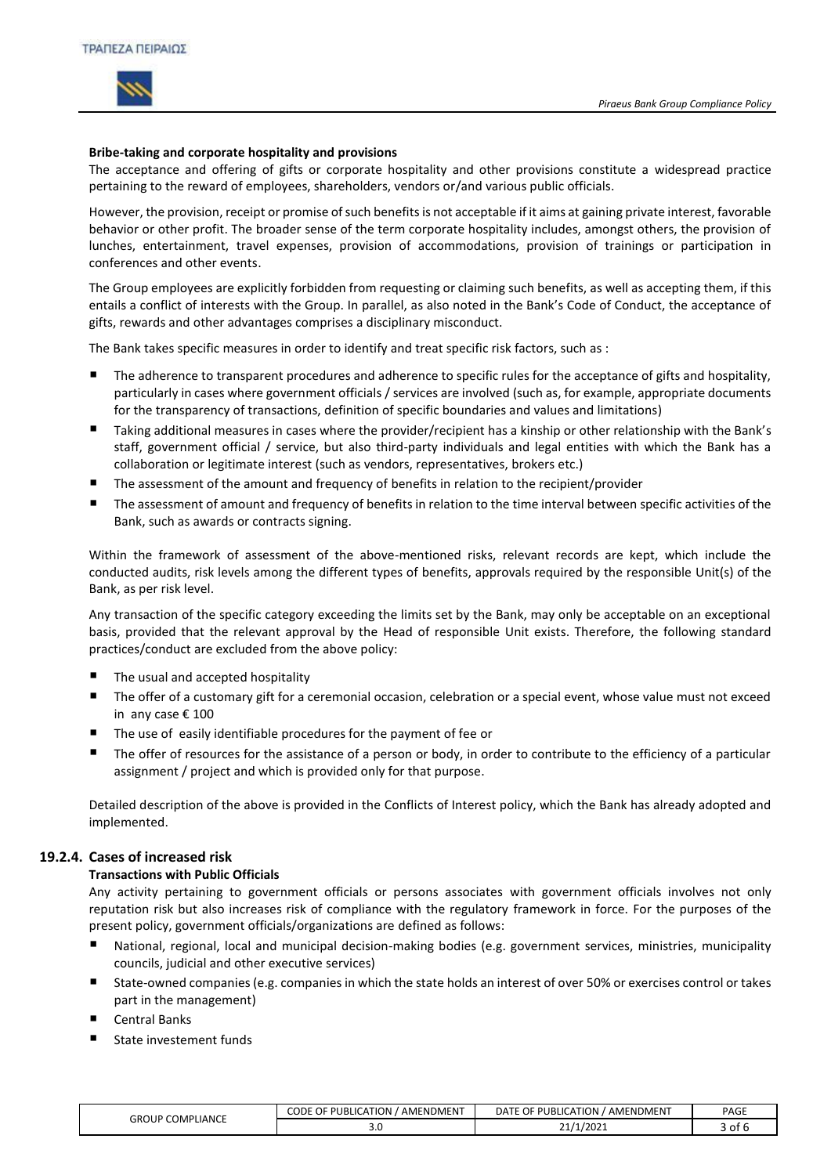

#### **Bribe-taking and corporate hospitality and provisions**

The acceptance and offering of gifts or corporate hospitality and other provisions constitute a widespread practice pertaining to the reward of employees, shareholders, vendors or/and various public officials.

However, the provision, receipt or promise of such benefits is not acceptable if it aims at gaining private interest, favorable behavior or other profit. The broader sense of the term corporate hospitality includes, amongst others, the provision of lunches, entertainment, travel expenses, provision of accommodations, provision of trainings or participation in conferences and other events.

The Group employees are explicitly forbidden from requesting or claiming such benefits, as well as accepting them, if this entails a conflict of interests with the Group. In parallel, as also noted in the Bank's Code of Conduct, the acceptance of gifts, rewards and other advantages comprises a disciplinary misconduct.

The Bank takes specific measures in order to identify and treat specific risk factors, such as :

- The adherence to transparent procedures and adherence to specific rules for the acceptance of gifts and hospitality, particularly in cases where government officials / services are involved (such as, for example, appropriate documents for the transparency of transactions, definition of specific boundaries and values and limitations)
- Taking additional measures in cases where the provider/recipient has a kinship or other relationship with the Bank's staff, government official / service, but also third-party individuals and legal entities with which the Bank has a collaboration or legitimate interest (such as vendors, representatives, brokers etc.)
- The assessment of the amount and frequency of benefits in relation to the recipient/provider
- The assessment of amount and frequency of benefits in relation to the time interval between specific activities of the Bank, such as awards or contracts signing.

Within the framework of assessment of the above-mentioned risks, relevant records are kept, which include the conducted audits, risk levels among the different types of benefits, approvals required by the responsible Unit(s) of the Bank, as per risk level.

Any transaction of the specific category exceeding the limits set by the Bank, may only be acceptable on an exceptional basis, provided that the relevant approval by the Head of responsible Unit exists. Therefore, the following standard practices/conduct are excluded from the above policy:

- The usual and accepted hospitality
- The offer of a customary gift for a ceremonial occasion, celebration or a special event, whose value must not exceed in any case € 100
- The use of easily identifiable procedures for the payment of fee or
- The offer of resources for the assistance of a person or body, in order to contribute to the efficiency of a particular assignment / project and which is provided only for that purpose.

Detailed description of the above is provided in the Conflicts of Interest policy, which the Bank has already adopted and implemented.

## **19.2.4. Cases of increased risk**

#### **Transactions with Public Officials**

Any activity pertaining to government officials or persons associates with government officials involves not only reputation risk but also increases risk of compliance with the regulatory framework in force. For the purposes of the present policy, government officials/organizations are defined as follows:

- National, regional, local and municipal decision-making bodies (e.g. government services, ministries, municipality councils, judicial and other executive services)
- State-owned companies (e.g. companies in which the state holds an interest of over 50% or exercises control or takes part in the management)
- Central Banks
- State investement funds

| <b>GROUP COMPLIANCE</b> | AMENDMENT<br><b>CODE OF PUBLICATION</b> | : OF PUBLICATION<br>DATE <sup>(</sup><br>AMENDMENT | PAGE   |
|-------------------------|-----------------------------------------|----------------------------------------------------|--------|
|                         | J.U<br>$-$                              | 21/1/2021                                          | 3 of 6 |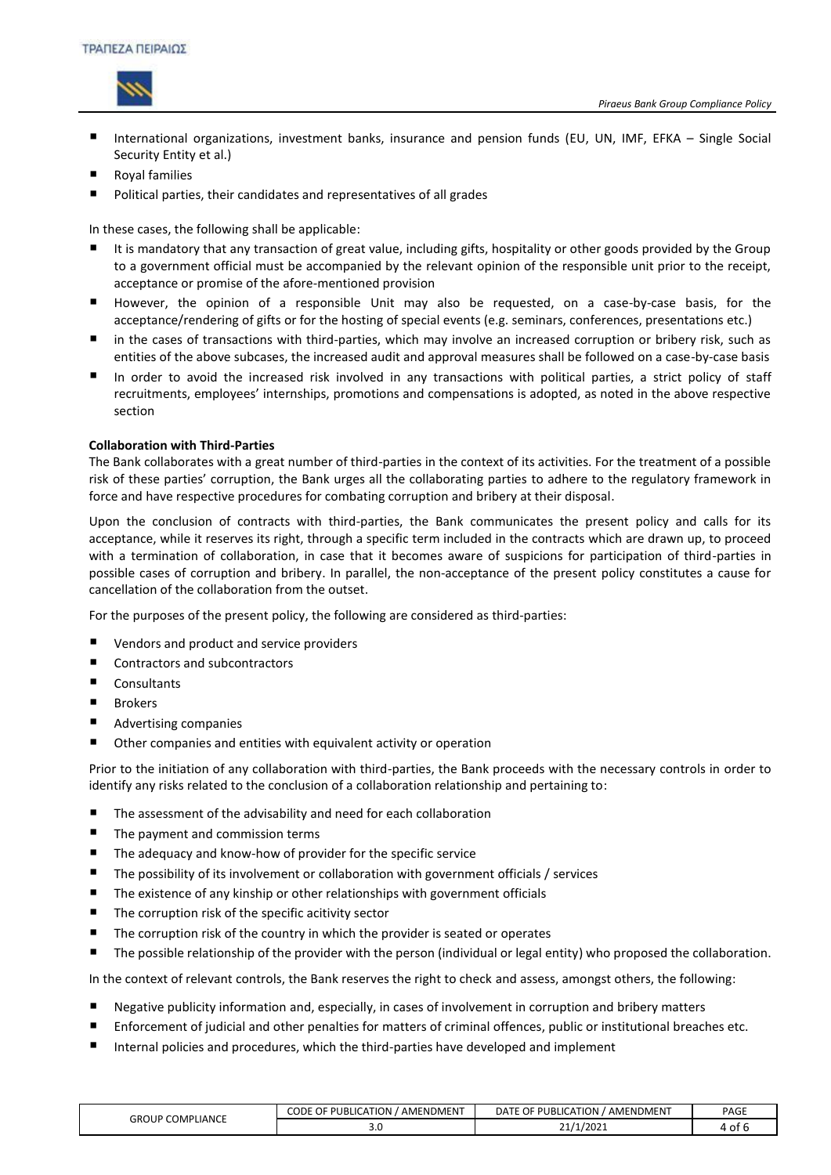

- International organizations, investment banks, insurance and pension funds (EU, UN, IMF, EFKA Single Social Security Entity et al.)
- Royal families
- Political parties, their candidates and representatives of all grades

In these cases, the following shall be applicable:

- It is mandatory that any transaction of great value, including gifts, hospitality or other goods provided by the Group to a government official must be accompanied by the relevant opinion of the responsible unit prior to the receipt, acceptance or promise of the afore-mentioned provision
- However, the opinion of a responsible Unit may also be requested, on a case-by-case basis, for the acceptance/rendering of gifts or for the hosting of special events (e.g. seminars, conferences, presentations etc.)
- in the cases of transactions with third-parties, which may involve an increased corruption or bribery risk, such as entities of the above subcases, the increased audit and approval measures shall be followed on a case-by-case basis
- In order to avoid the increased risk involved in any transactions with political parties, a strict policy of staff recruitments, employees' internships, promotions and compensations is adopted, as noted in the above respective section

#### **Collaboration with Third-Parties**

The Bank collaborates with a great number of third-parties in the context of its activities. For the treatment of a possible risk of these parties' corruption, the Bank urges all the collaborating parties to adhere to the regulatory framework in force and have respective procedures for combating corruption and bribery at their disposal.

Upon the conclusion of contracts with third-parties, the Bank communicates the present policy and calls for its acceptance, while it reserves its right, through a specific term included in the contracts which are drawn up, to proceed with a termination of collaboration, in case that it becomes aware of suspicions for participation of third-parties in possible cases of corruption and bribery. In parallel, the non-acceptance of the present policy constitutes a cause for cancellation of the collaboration from the outset.

For the purposes of the present policy, the following are considered as third-parties:

- Vendors and product and service providers
- Contractors and subcontractors
- Consultants
- **Brokers**
- Advertising companies
- Other companies and entities with equivalent activity or operation

Prior to the initiation of any collaboration with third-parties, the Bank proceeds with the necessary controls in order to identify any risks related to the conclusion of a collaboration relationship and pertaining to:

- The assessment of the advisability and need for each collaboration
- The payment and commission terms
- $\blacksquare$  The adequacy and know-how of provider for the specific service
- $\blacksquare$  The possibility of its involvement or collaboration with government officials / services
- $\blacksquare$  The existence of any kinship or other relationships with government officials
- The corruption risk of the specific acitivity sector
- $\blacksquare$  The corruption risk of the country in which the provider is seated or operates
- The possible relationship of the provider with the person (individual or legal entity) who proposed the collaboration.

In the context of relevant controls, the Bank reserves the right to check and assess, amongst others, the following:

- Negative publicity information and, especially, in cases of involvement in corruption and bribery matters
- Enforcement of judicial and other penalties for matters of criminal offences, public or institutional breaches etc.
- Internal policies and procedures, which the third-parties have developed and implement

| <b>COMPLIANCE</b><br>GROUP ( | <b>CODE OF PUBLICATION</b><br>AMENDMENT | DATE OF PUBLICATION<br>AMENDMENT | PAGE   |
|------------------------------|-----------------------------------------|----------------------------------|--------|
|                              | J.u<br>__                               | 21/1/2021                        | 4 of 6 |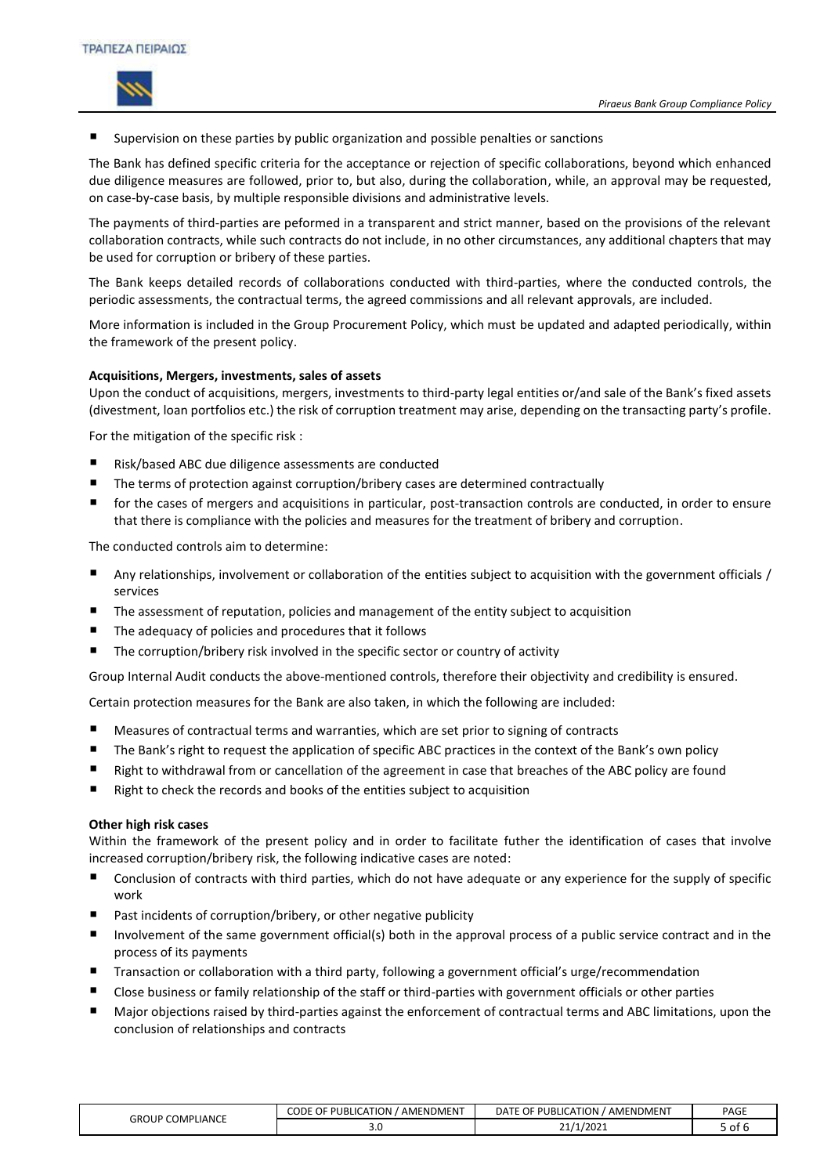

Supervision on these parties by public organization and possible penalties or sanctions

The Bank has defined specific criteria for the acceptance or rejection of specific collaborations, beyond which enhanced due diligence measures are followed, prior to, but also, during the collaboration, while, an approval may be requested, on case-by-case basis, by multiple responsible divisions and administrative levels.

The payments of third-parties are peformed in a transparent and strict manner, based on the provisions of the relevant collaboration contracts, while such contracts do not include, in no other circumstances, any additional chapters that may be used for corruption or bribery of these parties.

The Bank keeps detailed records of collaborations conducted with third-parties, where the conducted controls, the periodic assessments, the contractual terms, the agreed commissions and all relevant approvals, are included.

More information is included in the Group Procurement Policy, which must be updated and adapted periodically, within the framework of the present policy.

#### **Acquisitions, Mergers, investments, sales of assets**

Upon the conduct of acquisitions, mergers, investments to third-party legal entities or/and sale of the Bank's fixed assets (divestment, loan portfolios etc.) the risk of corruption treatment may arise, depending on the transacting party's profile.

For the mitigation of the specific risk :

- Risk/based ABC due diligence assessments are conducted
- The terms of protection against corruption/bribery cases are determined contractually
- for the cases of mergers and acquisitions in particular, post-transaction controls are conducted, in order to ensure that there is compliance with the policies and measures for the treatment of bribery and corruption.

The conducted controls aim to determine:

- Any relationships, involvement or collaboration of the entities subject to acquisition with the government officials  $/$ services
- The assessment of reputation, policies and management of the entity subject to acquisition
- The adequacy of policies and procedures that it follows
- The corruption/bribery risk involved in the specific sector or country of activity

Group Internal Audit conducts the above-mentioned controls, therefore their objectivity and credibility is ensured.

Certain protection measures for the Bank are also taken, in which the following are included:

- Measures of contractual terms and warranties, which are set prior to signing of contracts
- The Bank's right to request the application of specific ABC practices in the context of the Bank's own policy
- Right to withdrawal from or cancellation of the agreement in case that breaches of the ABC policy are found
- Right to check the records and books of the entities subject to acquisition

#### **Other high risk cases**

Within the framework of the present policy and in order to facilitate futher the identification of cases that involve increased corruption/bribery risk, the following indicative cases are noted:

- Conclusion of contracts with third parties, which do not have adequate or any experience for the supply of specific work
- Past incidents of corruption/bribery, or other negative publicity
- Involvement of the same government official(s) both in the approval process of a public service contract and in the process of its payments
- Transaction or collaboration with a third party, following a government official's urge/recommendation
- Close business or family relationship of the staff or third-parties with government officials or other parties
- Major objections raised by third-parties against the enforcement of contractual terms and ABC limitations, upon the conclusion of relationships and contracts

|                                               | OF PUBLICATION<br>AMENDMENT<br>CODE | OF PUBLICATION /<br>AMENDMENT<br>DATE | <b>PAGE</b> |
|-----------------------------------------------|-------------------------------------|---------------------------------------|-------------|
| <b>LIANCE</b><br><b>COMPL</b><br><b>GROUP</b> | ں د<br>__                           | 21/1/2021                             | 5 of        |